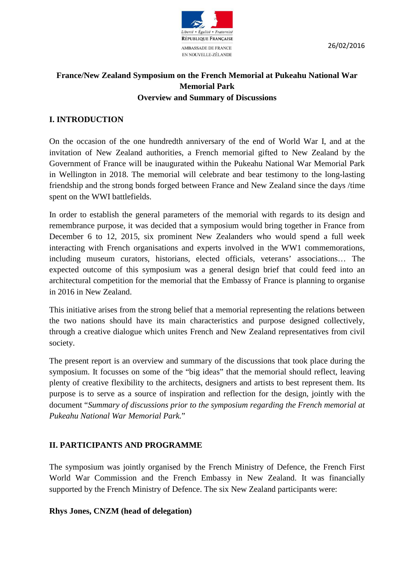

26/02/2016

# **France/New Zealand Symposium on the French Memorial at Pukeahu National War Memorial Park Overview and Summary of Discussions**

# **I. INTRODUCTION**

On the occasion of the one hundredth anniversary of the end of World War I, and at the invitation of New Zealand authorities, a French memorial gifted to New Zealand by the Government of France will be inaugurated within the Pukeahu National War Memorial Park in Wellington in 2018. The memorial will celebrate and bear testimony to the long-lasting friendship and the strong bonds forged between France and New Zealand since the days /time spent on the WWI battlefields.

In order to establish the general parameters of the memorial with regards to its design and remembrance purpose, it was decided that a symposium would bring together in France from December 6 to 12, 2015, six prominent New Zealanders who would spend a full week interacting with French organisations and experts involved in the WW1 commemorations, including museum curators, historians, elected officials, veterans' associations… The expected outcome of this symposium was a general design brief that could feed into an architectural competition for the memorial that the Embassy of France is planning to organise in 2016 in New Zealand.

This initiative arises from the strong belief that a memorial representing the relations between the two nations should have its main characteristics and purpose designed collectively, through a creative dialogue which unites French and New Zealand representatives from civil society.

The present report is an overview and summary of the discussions that took place during the symposium. It focusses on some of the "big ideas" that the memorial should reflect, leaving plenty of creative flexibility to the architects, designers and artists to best represent them. Its purpose is to serve as a source of inspiration and reflection for the design, jointly with the document "*Summary of discussions prior to the symposium regarding the French memorial at Pukeahu National War Memorial Park.*"

# **II. PARTICIPANTS AND PROGRAMME**

The symposium was jointly organised by the French Ministry of Defence, the French First World War Commission and the French Embassy in New Zealand. It was financially supported by the French Ministry of Defence. The six New Zealand participants were:

# **Rhys Jones, CNZM (head of delegation)**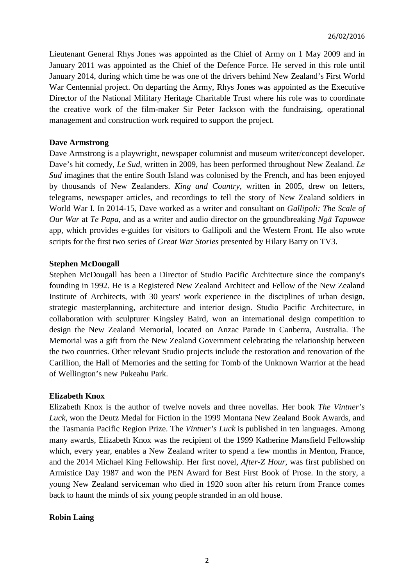Lieutenant General Rhys Jones was appointed as the Chief of Army on 1 May 2009 and in January 2011 was appointed as the Chief of the Defence Force. He served in this role until January 2014, during which time he was one of the drivers behind New Zealand's First World War Centennial project. On departing the Army, Rhys Jones was appointed as the Executive Director of the National Military Heritage Charitable Trust where his role was to coordinate the creative work of the film-maker Sir Peter Jackson with the fundraising, operational management and construction work required to support the project.

### **Dave Armstrong**

Dave Armstrong is a playwright, newspaper columnist and museum writer/concept developer. Dave's hit comedy, *Le Sud*, written in 2009, has been performed throughout New Zealand. *Le Sud* imagines that the entire South Island was colonised by the French, and has been enjoyed by thousands of New Zealanders. *King and Country*, written in 2005, drew on letters, telegrams, newspaper articles, and recordings to tell the story of New Zealand soldiers in World War I. In 2014-15, Dave worked as a writer and consultant on *Gallipoli: The Scale of Our War* at *Te Papa*, and as a writer and audio director on the groundbreaking *Ngā Tapuwae* app, which provides e-guides for visitors to Gallipoli and the Western Front. He also wrote scripts for the first two series of *Great War Stories* presented by Hilary Barry on TV3.

#### **Stephen McDougall**

Stephen McDougall has been a Director of Studio Pacific Architecture since the company's founding in 1992. He is a Registered New Zealand Architect and Fellow of the New Zealand Institute of Architects, with 30 years' work experience in the disciplines of urban design, strategic masterplanning, architecture and interior design. Studio Pacific Architecture, in collaboration with sculpturer Kingsley Baird, won an international design competition to design the New Zealand Memorial, located on Anzac Parade in Canberra, Australia. The Memorial was a gift from the New Zealand Government celebrating the relationship between the two countries. Other relevant Studio projects include the restoration and renovation of the Carillion, the Hall of Memories and the setting for Tomb of the Unknown Warrior at the head of Wellington's new Pukeahu Park.

#### **Elizabeth Knox**

Elizabeth Knox is the author of twelve novels and three novellas. Her book *The Vintner's Luck*, won the Deutz Medal for Fiction in the 1999 Montana New Zealand Book Awards, and the Tasmania Pacific Region Prize. The *Vintner's Luck* is published in ten languages. Among many awards, Elizabeth Knox was the recipient of the 1999 Katherine Mansfield Fellowship which, every year, enables a New Zealand writer to spend a few months in Menton, France, and the 2014 Michael King Fellowship. Her first novel, *After-Z Hour*, was first published on Armistice Day 1987 and won the PEN Award for Best First Book of Prose. In the story, a young New Zealand serviceman who died in 1920 soon after his return from France comes back to haunt the minds of six young people stranded in an old house.

# **Robin Laing**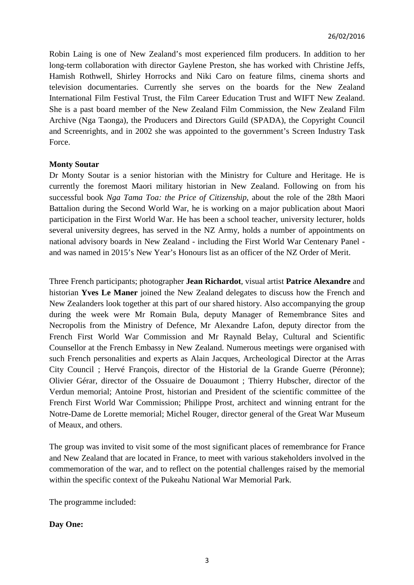Robin Laing is one of New Zealand's most experienced film producers. In addition to her long-term collaboration with director Gaylene Preston, she has worked with Christine Jeffs, Hamish Rothwell, Shirley Horrocks and Niki Caro on feature films, cinema shorts and television documentaries. Currently she serves on the boards for the New Zealand International Film Festival Trust, the Film Career Education Trust and WIFT New Zealand. She is a past board member of the New Zealand Film Commission, the New Zealand Film Archive (Nga Taonga), the Producers and Directors Guild (SPADA), the Copyright Council and Screenrights, and in 2002 she was appointed to the government's Screen Industry Task Force.

### **Monty Soutar**

Dr Monty Soutar is a senior historian with the Ministry for Culture and Heritage. He is currently the foremost Maori military historian in New Zealand. Following on from his successful book *Nga Tama Toa: the Price of Citizenship*, about the role of the 28th Maori Battalion during the Second World War, he is working on a major publication about Maori participation in the First World War. He has been a school teacher, university lecturer, holds several university degrees, has served in the NZ Army, holds a number of appointments on national advisory boards in New Zealand - including the First World War Centenary Panel and was named in 2015's New Year's Honours list as an officer of the NZ Order of Merit.

Three French participants; photographer **Jean Richardot**, visual artist **Patrice Alexandre** and historian **Yves Le Maner** joined the New Zealand delegates to discuss how the French and New Zealanders look together at this part of our shared history. Also accompanying the group during the week were Mr Romain Bula, deputy Manager of Remembrance Sites and Necropolis from the Ministry of Defence, Mr Alexandre Lafon, deputy director from the French First World War Commission and Mr Raynald Belay, Cultural and Scientific Counsellor at the French Embassy in New Zealand. Numerous meetings were organised with such French personalities and experts as Alain Jacques, Archeological Director at the Arras City Council ; Hervé François, director of the Historial de la Grande Guerre (Péronne); Olivier Gérar, director of the Ossuaire de Douaumont ; Thierry Hubscher, director of the Verdun memorial; Antoine Prost, historian and President of the scientific committee of the French First World War Commission; Philippe Prost, architect and winning entrant for the Notre-Dame de Lorette memorial; Michel Rouger, director general of the Great War Museum of Meaux, and others.

The group was invited to visit some of the most significant places of remembrance for France and New Zealand that are located in France, to meet with various stakeholders involved in the commemoration of the war, and to reflect on the potential challenges raised by the memorial within the specific context of the Pukeahu National War Memorial Park.

The programme included:

# **Day One:**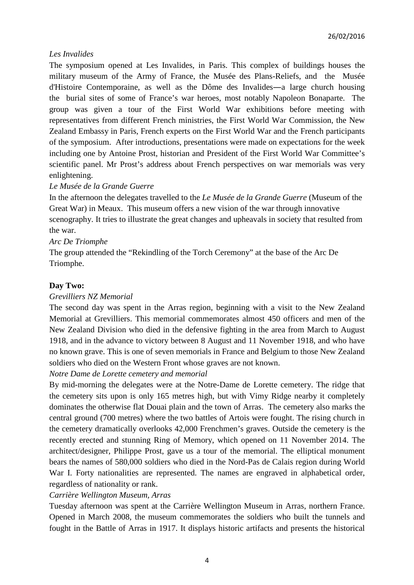# *Les Invalides*

The symposium opened at Les Invalides, in Paris. This complex of buildings houses the military museum of the Army of France, the Musée des Plans-Reliefs, and the Musée d'Histoire Contemporaine, as well as the Dôme des Invalides―a large church housing the burial sites of some of France's war heroes, most notably Napoleon Bonaparte. The group was given a tour of the First World War exhibitions before meeting with representatives from different French ministries, the First World War Commission, the New Zealand Embassy in Paris, French experts on the First World War and the French participants of the symposium. After introductions, presentations were made on expectations for the week including one by Antoine Prost, historian and President of the First World War Committee's scientific panel. Mr Prost's address about French perspectives on war memorials was very enlightening.

### *Le Musée de la Grande Guerre*

In the afternoon the delegates travelled to the *Le Musée de la Grande Guerre* (Museum of the Great War) in Meaux. This museum offers a new vision of the war through innovative scenography. It tries to illustrate the great changes and upheavals in society that resulted from the war.

### *Arc De Triomphe*

The group attended the "Rekindling of the Torch Ceremony" at the base of the Arc De Triomphe.

### **Day Two:**

#### *Grevilliers NZ Memorial*

The second day was spent in the Arras region, beginning with a visit to the New Zealand Memorial at Grevilliers. This memorial commemorates almost 450 officers and men of the New Zealand Division who died in the defensive fighting in the area from March to August 1918, and in the advance to victory between 8 August and 11 November 1918, and who have no known grave. This is one of seven memorials in France and Belgium to those New Zealand soldiers who died on the Western Front whose graves are not known.

*Notre Dame de Lorette cemetery and memorial*

By mid-morning the delegates were at the Notre-Dame de Lorette cemetery. The ridge that the cemetery sits upon is only 165 metres high, but with Vimy Ridge nearby it completely dominates the otherwise flat Douai plain and the town of Arras. The cemetery also marks the central ground (700 metres) where the two battles of Artois were fought. The rising church in the cemetery dramatically overlooks 42,000 Frenchmen's graves. Outside the cemetery is the recently erected and stunning Ring of Memory, which opened on 11 November 2014. The architect/designer, Philippe Prost, gave us a tour of the memorial. The elliptical monument bears the names of 580,000 soldiers who died in the Nord-Pas de Calais region during World War I. Forty nationalities are represented. The names are engraved in alphabetical order, regardless of nationality or rank.

#### *Carrière Wellington Museum, Arras*

Tuesday afternoon was spent at the Carrière Wellington Museum in Arras, northern France. Opened in March 2008, the museum commemorates the soldiers who built the tunnels and fought in the Battle of Arras in 1917. It displays historic artifacts and presents the historical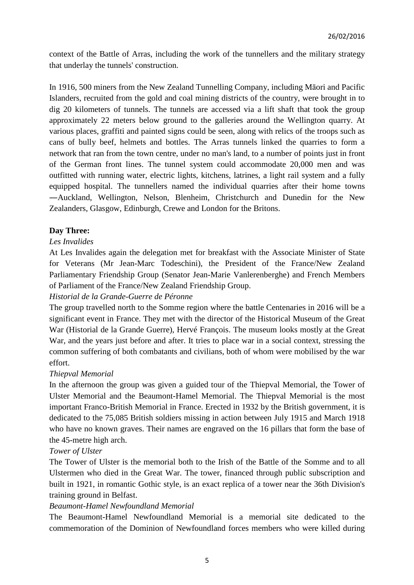context of the Battle of Arras, including the work of the tunnellers and the military strategy that underlay the tunnels' construction.

In 1916, 500 miners from the New Zealand Tunnelling Company, including Māori and Pacific Islanders, recruited from the gold and coal mining districts of the country, were brought in to dig 20 kilometers of tunnels. The tunnels are accessed via a lift shaft that took the group approximately 22 meters below ground to the galleries around the Wellington quarry. At various places, graffiti and painted signs could be seen, along with relics of the troops such as cans of bully beef, helmets and bottles. The Arras tunnels linked the quarries to form a network that ran from the town centre, under no man's land, to a number of points just in front of the German front lines. The tunnel system could accommodate 20,000 men and was outfitted with running water, electric lights, kitchens, latrines, a light rail system and a fully equipped hospital. The tunnellers named the individual quarries after their home towns ―Auckland, Wellington, Nelson, Blenheim, Christchurch and Dunedin for the New Zealanders, Glasgow, Edinburgh, Crewe and London for the Britons.

# **Day Three:**

# *Les Invalides*

At Les Invalides again the delegation met for breakfast with the Associate Minister of State for Veterans (Mr Jean-Marc Todeschini), the President of the France/New Zealand Parliamentary Friendship Group (Senator Jean-Marie Vanlerenberghe) and French Members of Parliament of the France/New Zealand Friendship Group.

# *Historial de la Grande-Guerre de Péronne*

The group travelled north to the Somme region where the battle Centenaries in 2016 will be a significant event in France. They met with the director of the Historical Museum of the Great War (Historial de la Grande Guerre), Hervé François. The museum looks mostly at the Great War, and the years just before and after. It tries to place war in a social context, stressing the common suffering of both combatants and civilians, both of whom were mobilised by the war effort.

#### *Thiepval Memorial*

In the afternoon the group was given a guided tour of the Thiepval Memorial, the Tower of Ulster Memorial and the Beaumont-Hamel Memorial. The Thiepval Memorial is the most important Franco-British Memorial in France. Erected in 1932 by the British government, it is dedicated to the 75,085 British soldiers missing in action between July 1915 and March 1918 who have no known graves. Their names are engraved on the 16 pillars that form the base of the 45-metre high arch.

#### *Tower of Ulster*

The Tower of Ulster is the memorial both to the Irish of the Battle of the Somme and to all Ulstermen who died in the Great War. The tower, financed through public subscription and built in 1921, in romantic Gothic style, is an exact replica of a tower near the 36th Division's training ground in Belfast.

# *Beaumont-Hamel Newfoundland Memorial*

The Beaumont-Hamel Newfoundland Memorial is a memorial site dedicated to the commemoration of the Dominion of Newfoundland forces members who were killed during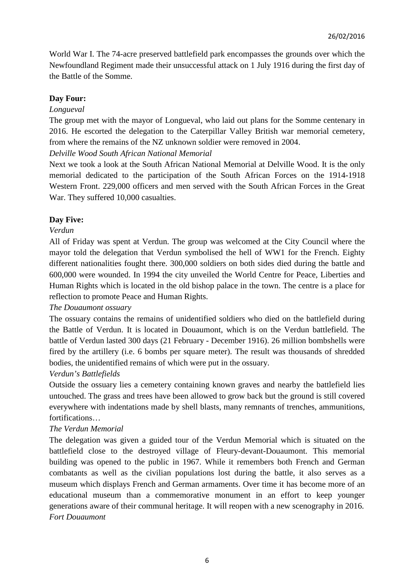World War I. The 74-acre preserved battlefield park encompasses the grounds over which the Newfoundland Regiment made their unsuccessful attack on 1 July 1916 during the first day of the Battle of the Somme.

# **Day Four:**

### *Longueval*

The group met with the mayor of Longueval, who laid out plans for the Somme centenary in 2016. He escorted the delegation to the Caterpillar Valley British war memorial cemetery, from where the remains of the NZ unknown soldier were removed in 2004.

### *Delville Wood South African National Memorial*

Next we took a look at the South African National Memorial at Delville Wood. It is the only memorial dedicated to the participation of the South African Forces on the 1914-1918 Western Front. 229,000 officers and men served with the South African Forces in the Great War. They suffered 10,000 casualties.

# **Day Five:**

### *Verdun*

All of Friday was spent at Verdun. The group was welcomed at the City Council where the mayor told the delegation that Verdun symbolised the hell of WW1 for the French. Eighty different nationalities fought there. 300,000 soldiers on both sides died during the battle and 600,000 were wounded. In 1994 the city unveiled the World Centre for Peace, Liberties and Human Rights which is located in the old bishop palace in the town. The centre is a place for reflection to promote Peace and Human Rights.

# *The Douaumont ossuary*

The ossuary contains the remains of unidentified soldiers who died on the battlefield during the Battle of Verdun. It is located in Douaumont, which is on the Verdun battlefield. The battle of Verdun lasted 300 days (21 February - December 1916). 26 million bombshells were fired by the artillery (i.e. 6 bombs per square meter). The result was thousands of shredded bodies, the unidentified remains of which were put in the ossuary.

# *Verdun's Battlefields*

Outside the ossuary lies a cemetery containing known graves and nearby the battlefield lies untouched. The grass and trees have been allowed to grow back but the ground is still covered everywhere with indentations made by shell blasts, many remnants of trenches, ammunitions, fortifications…

# *The Verdun Memorial*

The delegation was given a guided tour of the Verdun Memorial which is situated on the battlefield close to the destroyed village of Fleury-devant-Douaumont. This memorial building was opened to the public in 1967. While it remembers both French and German combatants as well as the civilian populations lost during the battle, it also serves as a museum which displays French and German armaments. Over time it has become more of an educational museum than a commemorative monument in an effort to keep younger generations aware of their communal heritage. It will reopen with a new scenography in 2016. *Fort Douaumont*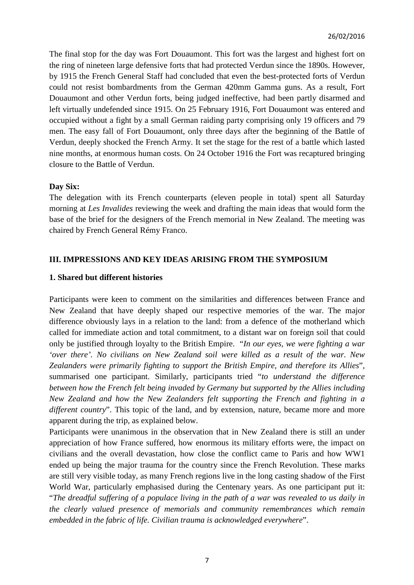The final stop for the day was Fort Douaumont. This fort was the largest and highest fort on the ring of nineteen large defensive forts that had protected Verdun since the 1890s. However, by 1915 the French General Staff had concluded that even the best-protected forts of Verdun could not resist bombardments from the German 420mm Gamma guns. As a result, Fort Douaumont and other Verdun forts, being judged ineffective, had been partly disarmed and left virtually undefended since 1915. On 25 February 1916, Fort Douaumont was entered and occupied without a fight by a small German raiding party comprising only 19 officers and 79 men. The easy fall of Fort Douaumont, only three days after the beginning of the Battle of Verdun, deeply shocked the French Army. It set the stage for the rest of a battle which lasted nine months, at enormous human costs. On 24 October 1916 the Fort was recaptured bringing closure to the Battle of Verdun.

# **Day Six:**

The delegation with its French counterparts (eleven people in total) spent all Saturday morning at *Les Invalides* reviewing the week and drafting the main ideas that would form the base of the brief for the designers of the French memorial in New Zealand. The meeting was chaired by French General Rémy Franco.

# **III. IMPRESSIONS AND KEY IDEAS ARISING FROM THE SYMPOSIUM**

# **1. Shared but different histories**

Participants were keen to comment on the similarities and differences between France and New Zealand that have deeply shaped our respective memories of the war. The major difference obviously lays in a relation to the land: from a defence of the motherland which called for immediate action and total commitment, to a distant war on foreign soil that could only be justified through loyalty to the British Empire. "*In our eyes, we were fighting a war 'over there'. No civilians on New Zealand soil were killed as a result of the war. New Zealanders were primarily fighting to support the British Empire, and therefore its Allies*", summarised one participant. Similarly, participants tried "*to understand the difference between how the French felt being invaded by Germany but supported by the Allies including New Zealand and how the New Zealanders felt supporting the French and fighting in a different country*". This topic of the land, and by extension, nature, became more and more apparent during the trip, as explained below.

Participants were unanimous in the observation that in New Zealand there is still an under appreciation of how France suffered, how enormous its military efforts were, the impact on civilians and the overall devastation, how close the conflict came to Paris and how WW1 ended up being the major trauma for the country since the French Revolution. These marks are still very visible today, as many French regions live in the long casting shadow of the First World War, particularly emphasised during the Centenary years. As one participant put it: "*The dreadful suffering of a populace living in the path of a war was revealed to us daily in the clearly valued presence of memorials and community remembrances which remain embedded in the fabric of life. Civilian trauma is acknowledged everywhere*".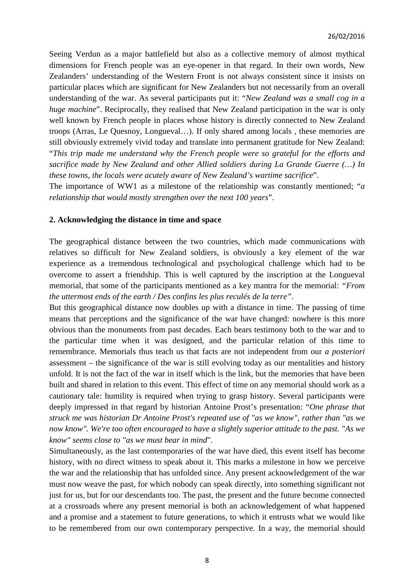Seeing Verdun as a major battlefield but also as a collective memory of almost mythical dimensions for French people was an eye-opener in that regard. In their own words, New Zealanders' understanding of the Western Front is not always consistent since it insists on particular places which are significant for New Zealanders but not necessarily from an overall understanding of the war. As several participants put it: "*New Zealand was a small cog in a huge machine*". Reciprocally, they realised that New Zealand participation in the war is only well known by French people in places whose history is directly connected to New Zealand troops (Arras, Le Quesnoy, Longueval…). If only shared among locals , these memories are still obviously extremely vivid today and translate into permanent gratitude for New Zealand: "*This trip made me understand why the French people were so grateful for the efforts and sacrifice made by New Zealand and other Allied soldiers during La Grande Guerre (…) In these towns, the locals were acutely aware of New Zealand's wartime sacrifice*".

The importance of WW1 as a milestone of the relationship was constantly mentioned; "*a relationship that would mostly strengthen over the next 100 years*".

#### **2. Acknowledging the distance in time and space**

The geographical distance between the two countries, which made communications with relatives so difficult for New Zealand soldiers, is obviously a key element of the war experience as a tremendous technological and psychological challenge which had to be overcome to assert a friendship. This is well captured by the inscription at the Longueval memorial, that some of the participants mentioned as a key mantra for the memorial: *"From the uttermost ends of the earth / Des confins les plus reculés de la terre".* 

But this geographical distance now doubles up with a distance in time. The passing of time means that perceptions and the significance of the war have changed: nowhere is this more obvious than the monuments from past decades. Each bears testimony both to the war and to the particular time when it was designed, and the particular relation of this time to remembrance. Memorials thus teach us that facts are not independent from our *a posteriori* assessment – the significance of the war is still evolving today as our mentalities and history unfold. It is not the fact of the war in itself which is the link, but the memories that have been built and shared in relation to this event. This effect of time on any memorial should work as a cautionary tale: humility is required when trying to grasp history. Several participants were deeply impressed in that regard by historian Antoine Prost's presentation: "*One phrase that struck me was historian Dr Antoine Prost's repeated use of "as we know", rather than "as we now know". We're too often encouraged to have a slightly superior attitude to the past. "As we know" seems close to "as we must bear in mind*".

Simultaneously, as the last contemporaries of the war have died, this event itself has become history, with no direct witness to speak about it. This marks a milestone in how we perceive the war and the relationship that has unfolded since. Any present acknowledgement of the war must now weave the past, for which nobody can speak directly, into something significant not just for us, but for our descendants too. The past, the present and the future become connected at a crossroads where any present memorial is both an acknowledgement of what happened and a promise and a statement to future generations, to which it entrusts what we would like to be remembered from our own contemporary perspective. In a way, the memorial should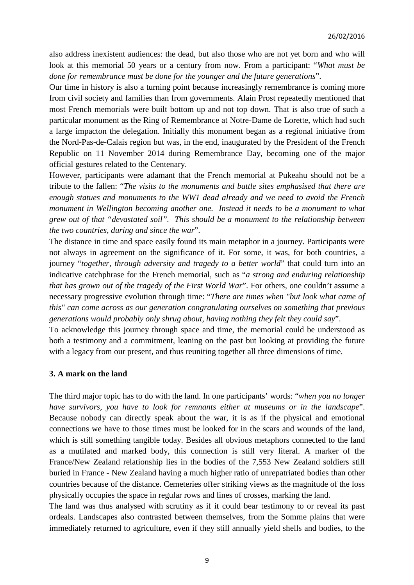also address inexistent audiences: the dead, but also those who are not yet born and who will look at this memorial 50 years or a century from now. From a participant: "*What must be done for remembrance must be done for the younger and the future generations*".

Our time in history is also a turning point because increasingly remembrance is coming more from civil society and families than from governments. Alain Prost repeatedly mentioned that most French memorials were built bottom up and not top down. That is also true of such a particular monument as the Ring of Remembrance at Notre-Dame de Lorette, which had such a large impacton the delegation. Initially this monument began as a regional initiative from the Nord-Pas-de-Calais region but was, in the end, inaugurated by the President of the French Republic on 11 November 2014 during Remembrance Day, becoming one of the major official gestures related to the Centenary.

However, participants were adamant that the French memorial at Pukeahu should not be a tribute to the fallen: "*The visits to the monuments and battle sites emphasised that there are enough statues and monuments to the WW1 dead already and we need to avoid the French monument in Wellington becoming another one. Instead it needs to be a monument to what grew out of that "devastated soil". This should be a monument to the relationship between the two countries, during and since the war*".

The distance in time and space easily found its main metaphor in a journey. Participants were not always in agreement on the significance of it. For some, it was, for both countries, a journey "*together, through adversity and tragedy to a better world*" that could turn into an indicative catchphrase for the French memorial, such as "*a strong and enduring relationship that has grown out of the tragedy of the First World War*". For others, one couldn't assume a necessary progressive evolution through time: "*There are times when "but look what came of this" can come across as our generation congratulating ourselves on something that previous generations would probably only shrug about, having nothing they felt they could say*".

To acknowledge this journey through space and time, the memorial could be understood as both a testimony and a commitment, leaning on the past but looking at providing the future with a legacy from our present, and thus reuniting together all three dimensions of time.

#### **3. A mark on the land**

The third major topic has to do with the land. In one participants' words: "*when you no longer have survivors, you have to look for remnants either at museums or in the landscape*". Because nobody can directly speak about the war, it is as if the physical and emotional connections we have to those times must be looked for in the scars and wounds of the land, which is still something tangible today. Besides all obvious metaphors connected to the land as a mutilated and marked body, this connection is still very literal. A marker of the France/New Zealand relationship lies in the bodies of the 7,553 New Zealand soldiers still buried in France - New Zealand having a much higher ratio of unrepatriated bodies than other countries because of the distance. Cemeteries offer striking views as the magnitude of the loss physically occupies the space in regular rows and lines of crosses, marking the land.

The land was thus analysed with scrutiny as if it could bear testimony to or reveal its past ordeals. Landscapes also contrasted between themselves, from the Somme plains that were immediately returned to agriculture, even if they still annually yield shells and bodies, to the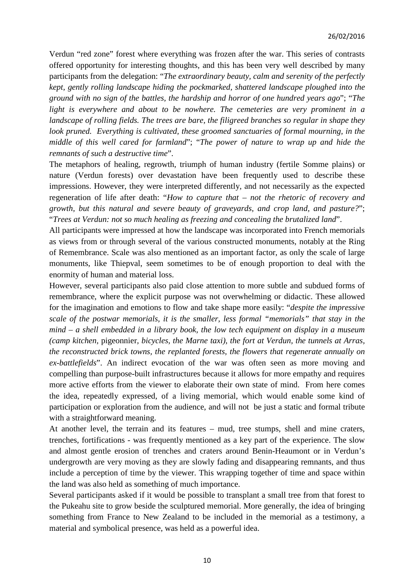Verdun "red zone" forest where everything was frozen after the war. This series of contrasts offered opportunity for interesting thoughts, and this has been very well described by many participants from the delegation: "*The extraordinary beauty, calm and serenity of the perfectly kept, gently rolling landscape hiding the pockmarked, shattered landscape ploughed into the ground with no sign of the battles, the hardship and horror of one hundred years ago*"; "*The light is everywhere and about to be nowhere. The cemeteries are very prominent in a landscape of rolling fields. The trees are bare, the filigreed branches so regular in shape they look pruned. Everything is cultivated, these groomed sanctuaries of formal mourning, in the middle of this well cared for farmland*"; "*The power of nature to wrap up and hide the remnants of such a destructive time*".

The metaphors of healing, regrowth, triumph of human industry (fertile Somme plains) or nature (Verdun forests) over devastation have been frequently used to describe these impressions. However, they were interpreted differently, and not necessarily as the expected regeneration of life after death: "*How to capture that – not the rhetoric of recovery and growth, but this natural and severe beauty of graveyards, and crop land, and pasture?*"; "*Trees at Verdun: not so much healing as freezing and concealing the brutalized land*".

All participants were impressed at how the landscape was incorporated into French memorials as views from or through several of the various constructed monuments, notably at the Ring of Remembrance. Scale was also mentioned as an important factor, as only the scale of large monuments, like Thiepval, seem sometimes to be of enough proportion to deal with the enormity of human and material loss.

However, several participants also paid close attention to more subtle and subdued forms of remembrance, where the explicit purpose was not overwhelming or didactic. These allowed for the imagination and emotions to flow and take shape more easily: "*despite the impressive scale of the postwar memorials, it is the smaller, less formal "memorials" that stay in the mind – a shell embedded in a library book, the low tech equipment on display in a museum (camp kitchen,* pigeonnier*, bicycles, the Marne taxi), the fort at Verdun, the tunnels at Arras, the reconstructed brick towns, the replanted forests, the flowers that regenerate annually on ex-battlefields*". An indirect evocation of the war was often seen as more moving and compelling than purpose-built infrastructures because it allows for more empathy and requires more active efforts from the viewer to elaborate their own state of mind. From here comes the idea, repeatedly expressed, of a living memorial, which would enable some kind of participation or exploration from the audience, and will not be just a static and formal tribute with a straightforward meaning.

At another level, the terrain and its features – mud, tree stumps, shell and mine craters, trenches, fortifications - was frequently mentioned as a key part of the experience. The slow and almost gentle erosion of trenches and craters around Benin-Heaumont or in Verdun's undergrowth are very moving as they are slowly fading and disappearing remnants, and thus include a perception of time by the viewer. This wrapping together of time and space within the land was also held as something of much importance.

Several participants asked if it would be possible to transplant a small tree from that forest to the Pukeahu site to grow beside the sculptured memorial. More generally, the idea of bringing something from France to New Zealand to be included in the memorial as a testimony, a material and symbolical presence, was held as a powerful idea.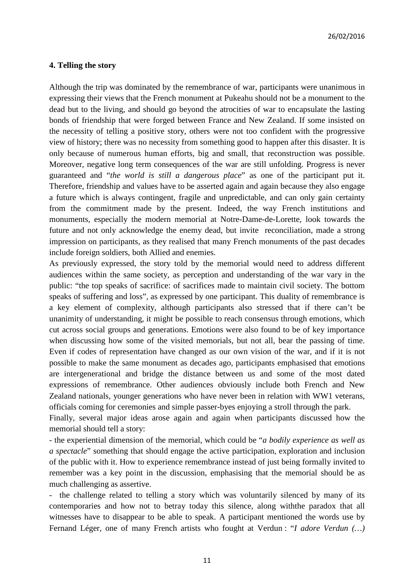### **4. Telling the story**

Although the trip was dominated by the remembrance of war, participants were unanimous in expressing their views that the French monument at Pukeahu should not be a monument to the dead but to the living, and should go beyond the atrocities of war to encapsulate the lasting bonds of friendship that were forged between France and New Zealand. If some insisted on the necessity of telling a positive story, others were not too confident with the progressive view of history; there was no necessity from something good to happen after this disaster. It is only because of numerous human efforts, big and small, that reconstruction was possible. Moreover, negative long term consequences of the war are still unfolding. Progress is never guaranteed and "*the world is still a dangerous place*" as one of the participant put it. Therefore, friendship and values have to be asserted again and again because they also engage a future which is always contingent, fragile and unpredictable, and can only gain certainty from the commitment made by the present. Indeed, the way French institutions and monuments, especially the modern memorial at Notre-Dame-de-Lorette, look towards the future and not only acknowledge the enemy dead, but invite reconciliation, made a strong impression on participants, as they realised that many French monuments of the past decades include foreign soldiers, both Allied and enemies.

As previously expressed, the story told by the memorial would need to address different audiences within the same society, as perception and understanding of the war vary in the public: "the top speaks of sacrifice: of sacrifices made to maintain civil society. The bottom speaks of suffering and loss", as expressed by one participant. This duality of remembrance is a key element of complexity, although participants also stressed that if there can't be unanimity of understanding, it might be possible to reach consensus through emotions, which cut across social groups and generations. Emotions were also found to be of key importance when discussing how some of the visited memorials, but not all, bear the passing of time. Even if codes of representation have changed as our own vision of the war, and if it is not possible to make the same monument as decades ago, participants emphasised that emotions are intergenerational and bridge the distance between us and some of the most dated expressions of remembrance. Other audiences obviously include both French and New Zealand nationals, younger generations who have never been in relation with WW1 veterans, officials coming for ceremonies and simple passer-byes enjoying a stroll through the park.

Finally, several major ideas arose again and again when participants discussed how the memorial should tell a story:

- the experiential dimension of the memorial, which could be "*a bodily experience as well as a spectacle*" something that should engage the active participation, exploration and inclusion of the public with it. How to experience remembrance instead of just being formally invited to remember was a key point in the discussion, emphasising that the memorial should be as much challenging as assertive.

- the challenge related to telling a story which was voluntarily silenced by many of its contemporaries and how not to betray today this silence, along withthe paradox that all witnesses have to disappear to be able to speak. A participant mentioned the words use by Fernand Léger, one of many French artists who fought at Verdun : "*I adore Verdun (…)*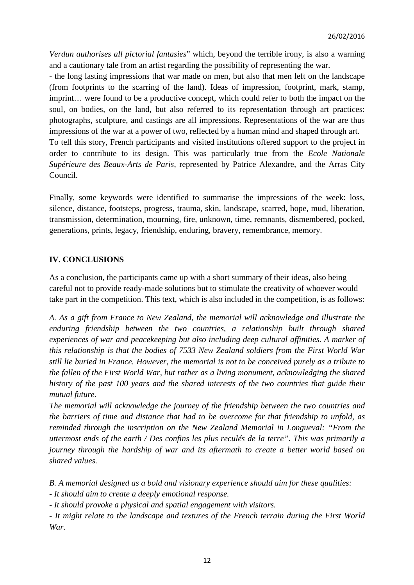*Verdun authorises all pictorial fantasies*" which, beyond the terrible irony, is also a warning and a cautionary tale from an artist regarding the possibility of representing the war.

- the long lasting impressions that war made on men, but also that men left on the landscape (from footprints to the scarring of the land). Ideas of impression, footprint, mark, stamp, imprint… were found to be a productive concept, which could refer to both the impact on the soul, on bodies, on the land, but also referred to its representation through art practices: photographs, sculpture, and castings are all impressions. Representations of the war are thus impressions of the war at a power of two, reflected by a human mind and shaped through art. To tell this story, French participants and visited institutions offered support to the project in order to contribute to its design. This was particularly true from the *Ecole Nationale Supérieure des Beaux-Arts de Paris*, represented by Patrice Alexandre, and the Arras City Council.

Finally, some keywords were identified to summarise the impressions of the week: loss, silence, distance, footsteps, progress, trauma, skin, landscape, scarred, hope, mud, liberation, transmission, determination, mourning, fire, unknown, time, remnants, dismembered, pocked, generations, prints, legacy, friendship, enduring, bravery, remembrance, memory.

# **IV. CONCLUSIONS**

As a conclusion, the participants came up with a short summary of their ideas, also being careful not to provide ready-made solutions but to stimulate the creativity of whoever would take part in the competition. This text, which is also included in the competition, is as follows:

*A. As a gift from France to New Zealand, the memorial will acknowledge and illustrate the enduring friendship between the two countries, a relationship built through shared experiences of war and peacekeeping but also including deep cultural affinities. A marker of this relationship is that the bodies of 7533 New Zealand soldiers from the First World War still lie buried in France. However, the memorial is not to be conceived purely as a tribute to the fallen of the First World War, but rather as a living monument, acknowledging the shared history of the past 100 years and the shared interests of the two countries that guide their mutual future.* 

*The memorial will acknowledge the journey of the friendship between the two countries and the barriers of time and distance that had to be overcome for that friendship to unfold, as reminded through the inscription on the New Zealand Memorial in Longueval: "From the uttermost ends of the earth / Des confins les plus reculés de la terre". This was primarily a journey through the hardship of war and its aftermath to create a better world based on shared values.* 

*B. A memorial designed as a bold and visionary experience should aim for these qualities:* 

*- It should aim to create a deeply emotional response.* 

*- It should provoke a physical and spatial engagement with visitors.* 

*- It might relate to the landscape and textures of the French terrain during the First World War.*